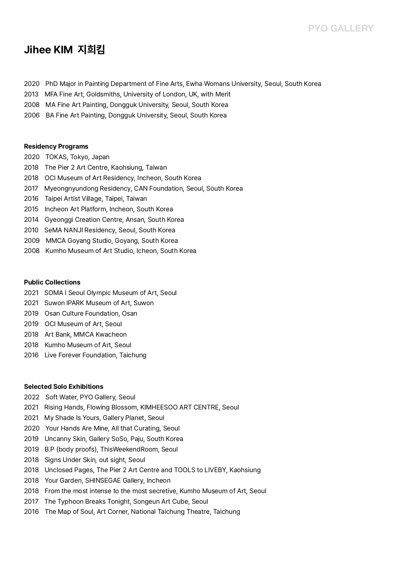# **Jihee KIM 지희킴**

- 2020 PhD Major in Painting Department of Fine Arts, Ewha Womans University, Seoul, South Korea
- 2013 MFA Fine Art, Goldsmiths, University of London, UK, with Merit
- 2008 MA Fine Art Painting, Dongguk University, Seoul, South Korea
- 2006 BA Fine Art Painting, Dongguk University, Seoul, South Korea

#### **Residency Programs**

- 2020 TOKAS, Tokyo, Japan
- 2018 The Pier 2 Art Centre, Kaohsiung, Taiwan
- 2018 OCI Museum of Art Residency, Incheon, South Korea
- 2017 Myeongnyundong Residency, CAN Foundation, Seoul, South Korea
- 2016 Taipei Artist Village, Taipei, Taiwan
- 2015 Incheon Art Platform, Incheon, South Korea
- 2014 Gyeonggi Creation Centre, Ansan, South Korea
- 2010 SeMA NANJI Residency, Seoul, South Korea
- 2009 MMCA Goyang Studio, Goyang, South Korea
- 2008 Kumho Museum of Art Studio, Icheon, South Korea

## **Public Collections**

- 2021 SOMA l Seoul Olympic Museum of Art, Seoul
- 2021 Suwon IPARK Museum of Art, Suwon
- 2019 Osan Culture Foundation, Osan
- 2019 OCI Museum of Art, Seoul
- 2018 Art Bank, MMCA Kwacheon
- 2018 Kumho Museum of Art, Seoul
- 2016 Live Forever Foundation, Taichung

#### **Selected Solo Exhibitions**

- 2022 Soft Water, PYO Gallery, Seoul
- 2021 Rising Hands, Flowing Blossom, KIMHEESOO ART CENTRE, Seoul
- 2021 My Shade Is Yours, Gallery Planet, Seoul
- 2020 Your Hands Are Mine, All that Curating, Seoul
- 2019 Uncanny Skin, Gallery SoSo, Paju, South Korea
- 2019 B.P (body proofs), ThisWeekendRoom, Seoul
- 2018 Signs Under Skin, out sight, Seoul
- 2018 Unclosed Pages, The Pier 2 Art Centre and TOOLS to LIVEBY, Kaohsiung
- 2018 Your Garden, SHINSEGAE Gallery, Incheon
- 2018 From the most intense to the most secretive, Kumho Museum of Art, Seoul
- 2017 The Typhoon Breaks Tonight, Songeun Art Cube, Seoul
- 2016 The Map of Soul, Art Corner, National Taichung Theatre, Taichung